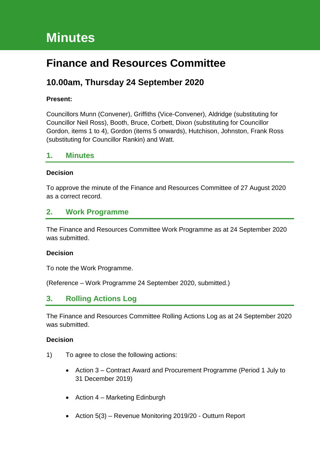# **Minutes**

# **Finance and Resources Committee**

# **10.00am, Thursday 24 September 2020**

## **Present:**

Councillors Munn (Convener), Griffiths (Vice-Convener), Aldridge (substituting for Councillor Neil Ross), Booth, Bruce, Corbett, Dixon (substituting for Councillor Gordon, items 1 to 4), Gordon (items 5 onwards), Hutchison, Johnston, Frank Ross (substituting for Councillor Rankin) and Watt.

# **1. Minutes**

#### **Decision**

To approve the minute of the Finance and Resources Committee of 27 August 2020 as a correct record.

# **2. Work Programme**

The Finance and Resources Committee Work Programme as at 24 September 2020 was submitted.

#### **Decision**

To note the Work Programme.

(Reference – Work Programme 24 September 2020, submitted.)

# **3. Rolling Actions Log**

The Finance and Resources Committee Rolling Actions Log as at 24 September 2020 was submitted.

#### **Decision**

- 1) To agree to close the following actions:
	- Action 3 Contract Award and Procurement Programme (Period 1 July to 31 December 2019)
	- Action 4 Marketing Edinburgh
	- Action 5(3) Revenue Monitoring 2019/20 Outturn Report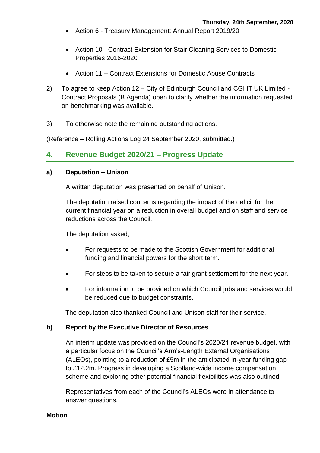- Action 6 Treasury Management: Annual Report 2019/20
- Action 10 Contract Extension for Stair Cleaning Services to Domestic Properties 2016-2020
- Action 11 Contract Extensions for Domestic Abuse Contracts
- 2) To agree to keep Action 12 City of Edinburgh Council and CGI IT UK Limited Contract Proposals (B Agenda) open to clarify whether the information requested on benchmarking was available.
- 3) To otherwise note the remaining outstanding actions.

(Reference – Rolling Actions Log 24 September 2020, submitted.)

# **4. Revenue Budget 2020/21 – Progress Update**

#### **a) Deputation – Unison**

A written deputation was presented on behalf of Unison.

The deputation raised concerns regarding the impact of the deficit for the current financial year on a reduction in overall budget and on staff and service reductions across the Council.

The deputation asked;

- For requests to be made to the Scottish Government for additional funding and financial powers for the short term.
- For steps to be taken to secure a fair grant settlement for the next year.
- For information to be provided on which Council jobs and services would be reduced due to budget constraints.

The deputation also thanked Council and Unison staff for their service.

#### **b) Report by the Executive Director of Resources**

An interim update was provided on the Council's 2020/21 revenue budget, with a particular focus on the Council's Arm's-Length External Organisations (ALEOs), pointing to a reduction of £5m in the anticipated in-year funding gap to £12.2m. Progress in developing a Scotland-wide income compensation scheme and exploring other potential financial flexibilities was also outlined.

Representatives from each of the Council's ALEOs were in attendance to answer questions.

**Motion**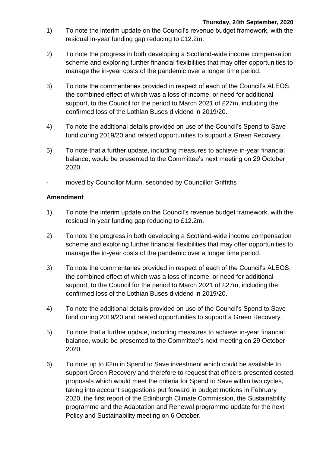- 1) To note the interim update on the Council's revenue budget framework, with the residual in-year funding gap reducing to £12.2m.
- 2) To note the progress in both developing a Scotland-wide income compensation scheme and exploring further financial flexibilities that may offer opportunities to manage the in-year costs of the pandemic over a longer time period.
- 3) To note the commentaries provided in respect of each of the Council's ALEOS, the combined effect of which was a loss of income, or need for additional support, to the Council for the period to March 2021 of £27m, including the confirmed loss of the Lothian Buses dividend in 2019/20.
- 4) To note the additional details provided on use of the Council's Spend to Save fund during 2019/20 and related opportunities to support a Green Recovery.
- 5) To note that a further update, including measures to achieve in-year financial balance, would be presented to the Committee's next meeting on 29 October 2020.
- moved by Councillor Munn, seconded by Councillor Griffiths

# **Amendment**

- 1) To note the interim update on the Council's revenue budget framework, with the residual in-year funding gap reducing to £12.2m.
- 2) To note the progress in both developing a Scotland-wide income compensation scheme and exploring further financial flexibilities that may offer opportunities to manage the in-year costs of the pandemic over a longer time period.
- 3) To note the commentaries provided in respect of each of the Council's ALEOS, the combined effect of which was a loss of income, or need for additional support, to the Council for the period to March 2021 of £27m, including the confirmed loss of the Lothian Buses dividend in 2019/20.
- 4) To note the additional details provided on use of the Council's Spend to Save fund during 2019/20 and related opportunities to support a Green Recovery.
- 5) To note that a further update, including measures to achieve in-year financial balance, would be presented to the Committee's next meeting on 29 October 2020.
- 6) To note up to £2m in Spend to Save investment which could be available to support Green Recovery and therefore to request that officers presented costed proposals which would meet the criteria for Spend to Save within two cycles, taking into account suggestions put forward in budget motions in February 2020, the first report of the Edinburgh Climate Commission, the Sustainability programme and the Adaptation and Renewal programme update for the next Policy and Sustainability meeting on 6 October.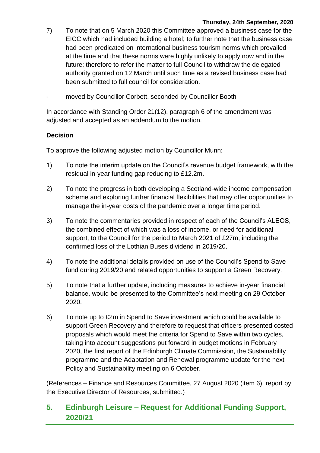- 7) To note that on 5 March 2020 this Committee approved a business case for the EICC which had included building a hotel; to further note that the business case had been predicated on international business tourism norms which prevailed at the time and that these norms were highly unlikely to apply now and in the future; therefore to refer the matter to full Council to withdraw the delegated authority granted on 12 March until such time as a revised business case had been submitted to full council for consideration.
- moved by Councillor Corbett, seconded by Councillor Booth

In accordance with Standing Order 21(12), paragraph 6 of the amendment was adjusted and accepted as an addendum to the motion.

# **Decision**

To approve the following adjusted motion by Councillor Munn:

- 1) To note the interim update on the Council's revenue budget framework, with the residual in-year funding gap reducing to £12.2m.
- 2) To note the progress in both developing a Scotland-wide income compensation scheme and exploring further financial flexibilities that may offer opportunities to manage the in-year costs of the pandemic over a longer time period.
- 3) To note the commentaries provided in respect of each of the Council's ALEOS, the combined effect of which was a loss of income, or need for additional support, to the Council for the period to March 2021 of £27m, including the confirmed loss of the Lothian Buses dividend in 2019/20.
- 4) To note the additional details provided on use of the Council's Spend to Save fund during 2019/20 and related opportunities to support a Green Recovery.
- 5) To note that a further update, including measures to achieve in-year financial balance, would be presented to the Committee's next meeting on 29 October 2020.
- 6) To note up to £2m in Spend to Save investment which could be available to support Green Recovery and therefore to request that officers presented costed proposals which would meet the criteria for Spend to Save within two cycles, taking into account suggestions put forward in budget motions in February 2020, the first report of the Edinburgh Climate Commission, the Sustainability programme and the Adaptation and Renewal programme update for the next Policy and Sustainability meeting on 6 October.

(References – Finance and Resources Committee, 27 August 2020 (item 6); report by the Executive Director of Resources, submitted.)

# **5. Edinburgh Leisure – Request for Additional Funding Support, 2020/21**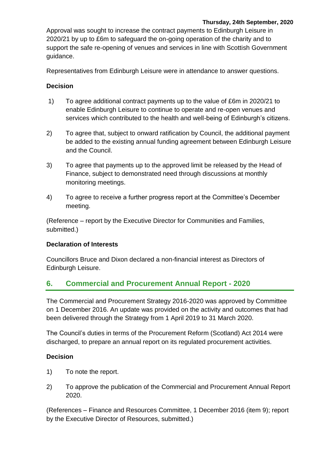Approval was sought to increase the contract payments to Edinburgh Leisure in 2020/21 by up to £6m to safeguard the on-going operation of the charity and to support the safe re-opening of venues and services in line with Scottish Government guidance.

Representatives from Edinburgh Leisure were in attendance to answer questions.

# **Decision**

- 1) To agree additional contract payments up to the value of £6m in 2020/21 to enable Edinburgh Leisure to continue to operate and re-open venues and services which contributed to the health and well-being of Edinburgh's citizens.
- 2) To agree that, subject to onward ratification by Council, the additional payment be added to the existing annual funding agreement between Edinburgh Leisure and the Council.
- 3) To agree that payments up to the approved limit be released by the Head of Finance, subject to demonstrated need through discussions at monthly monitoring meetings.
- 4) To agree to receive a further progress report at the Committee's December meeting.

(Reference – report by the Executive Director for Communities and Families, submitted.)

## **Declaration of Interests**

Councillors Bruce and Dixon declared a non-financial interest as Directors of Edinburgh Leisure.

# **6. Commercial and Procurement Annual Report - 2020**

The Commercial and Procurement Strategy 2016-2020 was approved by Committee on 1 December 2016. An update was provided on the activity and outcomes that had been delivered through the Strategy from 1 April 2019 to 31 March 2020.

The Council's duties in terms of the Procurement Reform (Scotland) Act 2014 were discharged, to prepare an annual report on its regulated procurement activities.

# **Decision**

- 1) To note the report.
- 2) To approve the publication of the Commercial and Procurement Annual Report 2020.

(References – Finance and Resources Committee, 1 December 2016 (item 9); report by the Executive Director of Resources, submitted.)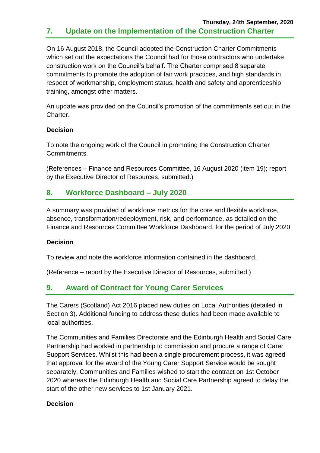# **Thursday, 24th September, 2020 7. Update on the Implementation of the Construction Charter**

On 16 August 2018, the Council adopted the Construction Charter Commitments which set out the expectations the Council had for those contractors who undertake construction work on the Council's behalf. The Charter comprised 8 separate commitments to promote the adoption of fair work practices, and high standards in respect of workmanship, employment status, health and safety and apprenticeship training, amongst other matters.

An update was provided on the Council's promotion of the commitments set out in the Charter.

## **Decision**

To note the ongoing work of the Council in promoting the Construction Charter Commitments.

(References – Finance and Resources Committee, 16 August 2020 (item 19); report by the Executive Director of Resources, submitted.)

# **8. Workforce Dashboard – July 2020**

A summary was provided of workforce metrics for the core and flexible workforce, absence, transformation/redeployment, risk, and performance, as detailed on the Finance and Resources Committee Workforce Dashboard, for the period of July 2020.

## **Decision**

To review and note the workforce information contained in the dashboard.

(Reference – report by the Executive Director of Resources, submitted.)

# **9. Award of Contract for Young Carer Services**

The Carers (Scotland) Act 2016 placed new duties on Local Authorities (detailed in Section 3). Additional funding to address these duties had been made available to local authorities.

The Communities and Families Directorate and the Edinburgh Health and Social Care Partnership had worked in partnership to commission and procure a range of Carer Support Services. Whilst this had been a single procurement process, it was agreed that approval for the award of the Young Carer Support Service would be sought separately. Communities and Families wished to start the contract on 1st October 2020 whereas the Edinburgh Health and Social Care Partnership agreed to delay the start of the other new services to 1st January 2021.

## **Decision**